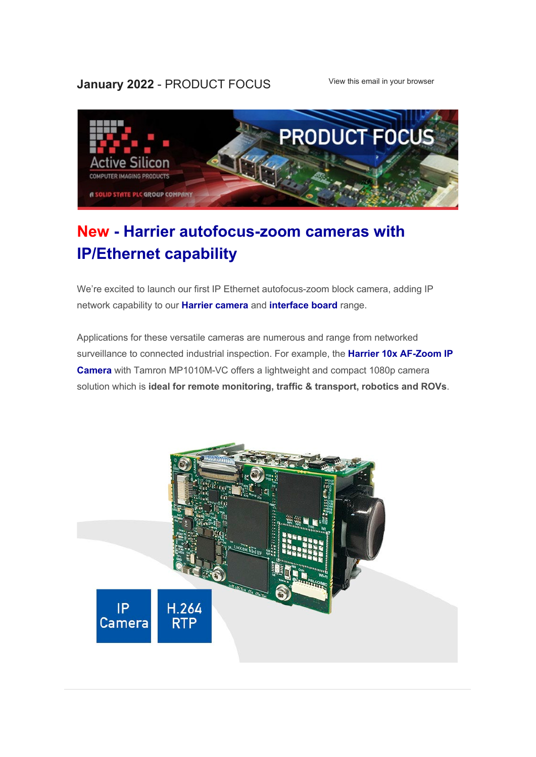#### **January 2022 - PRODUCT FOCUS** [View this email in your browser](https://mailchi.mp/activesilicon/new-ip-ethernet-af-zoom-camera-several-options-ws78uk50nh?e=f751110180)



# **New - [Harrier autofocus-zoom cameras with](https://www.activesilicon.com/products/cameras/)  [IP/Ethernet capability](https://www.activesilicon.com/products/cameras/)**

We're excited to launch our first IP Ethernet autofocus-zoom block camera, adding IP network capability to our **[Harrier camera](https://www.activesilicon.com/products/cameras/)** and **[interface board](https://www.activesilicon.com/products/camera-interface-boards/)** range.

Applications for these versatile cameras are numerous and range from networked surveillance to connected industrial inspection. For example, the **[Harrier 10x AF-Zoom IP](https://www.activesilicon.com/products/af-zoom-ethernet-ip-camera-mp1010/)  [Camera](https://www.activesilicon.com/products/af-zoom-ethernet-ip-camera-mp1010/)** with Tamron MP1010M-VC offers a lightweight and compact 1080p camera solution which is **ideal for remote monitoring, traffic & transport, robotics and ROVs**.

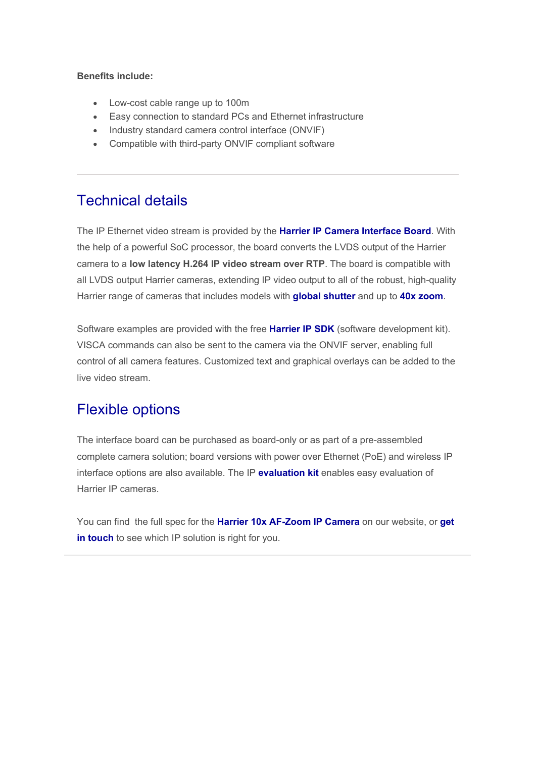#### **Benefits include:**

- Low-cost cable range up to 100m
- Easy connection to standard PCs and Ethernet infrastructure
- Industry standard camera control interface (ONVIF)
- Compatible with third-party ONVIF compliant software

### Technical details

The IP Ethernet video stream is provided by the **[Harrier IP Camera Interface Board](https://www.activesilicon.com/products/harrier-ip-camera-interface-board/)**. With the help of a powerful SoC processor, the board converts the LVDS output of the Harrier camera to a **low latency H.264 IP video stream over RTP**. The board is compatible with all LVDS output Harrier cameras, extending IP video output to all of the robust, high-quality Harrier range of cameras that includes models with **[global shutter](https://www.activesilicon.com/products/cameras/?fwp_shutter_type=global-shutter)** and up to **[40x zoom](https://www.activesilicon.com/products/cameras/?fwp_optical_zoom=40x)**.

Software examples are provided with the free **[Harrier IP SDK](https://www.activesilicon.com/products/ip-sdk/)** (software development kit). VISCA commands can also be sent to the camera via the ONVIF server, enabling full control of all camera features. Customized text and graphical overlays can be added to the live video stream.

## Flexible options

The interface board can be purchased as board-only or as part of a pre-assembled complete camera solution; board versions with power over Ethernet (PoE) and wireless IP interface options are also available. The IP **[evaluation kit](https://www.activesilicon.com/products/evaluation-kit-for-harrier-ip/)** enables easy evaluation of Harrier IP cameras.

You can find the full spec for the **Harrier 10x [AF-Zoom IP Camera](https://www.activesilicon.com/products/af-zoom-ethernet-ip-camera-mp1010/)** on our website, or **[get](https://www.activesilicon.com/contact-us/)  [in touch](https://www.activesilicon.com/contact-us/)** to see which IP solution is right for you.